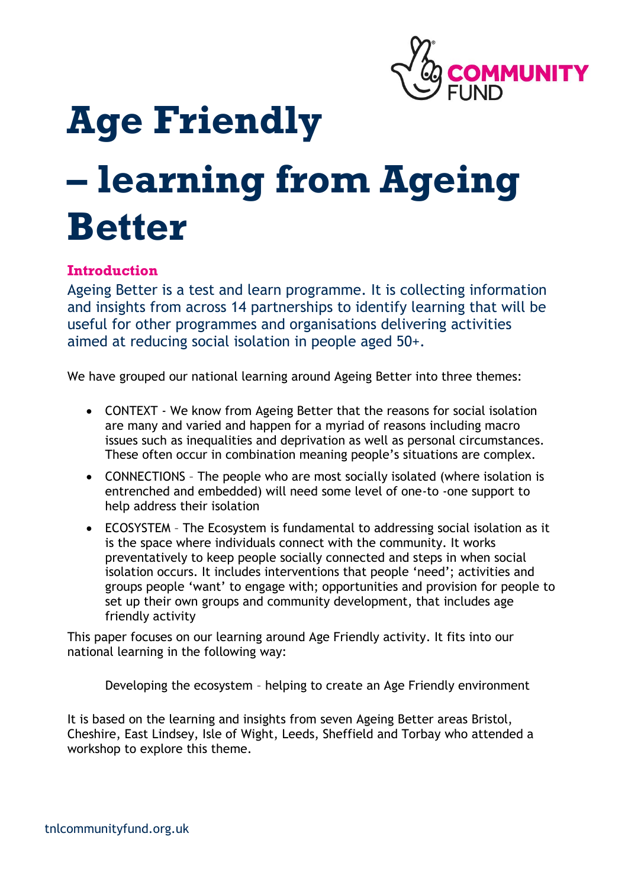

# **Age Friendly**

## **– learning from Ageing Better**

#### **Introduction**

Ageing Better is a test and learn programme. It is collecting information and insights from across 14 partnerships to identify learning that will be useful for other programmes and organisations delivering activities aimed at reducing social isolation in people aged 50+.

We have grouped our national learning around Ageing Better into three themes:

- CONTEXT We know from Ageing Better that the reasons for social isolation are many and varied and happen for a myriad of reasons including macro issues such as inequalities and deprivation as well as personal circumstances. These often occur in combination meaning people's situations are complex.
- CONNECTIONS The people who are most socially isolated (where isolation is entrenched and embedded) will need some level of one-to -one support to help address their isolation
- ECOSYSTEM The Ecosystem is fundamental to addressing social isolation as it is the space where individuals connect with the community. It works preventatively to keep people socially connected and steps in when social isolation occurs. It includes interventions that people 'need'; activities and groups people 'want' to engage with; opportunities and provision for people to set up their own groups and community development, that includes age friendly activity

This paper focuses on our learning around Age Friendly activity. It fits into our national learning in the following way:

Developing the ecosystem – helping to create an Age Friendly environment

It is based on the learning and insights from seven Ageing Better areas Bristol, Cheshire, East Lindsey, Isle of Wight, Leeds, Sheffield and Torbay who attended a workshop to explore this theme.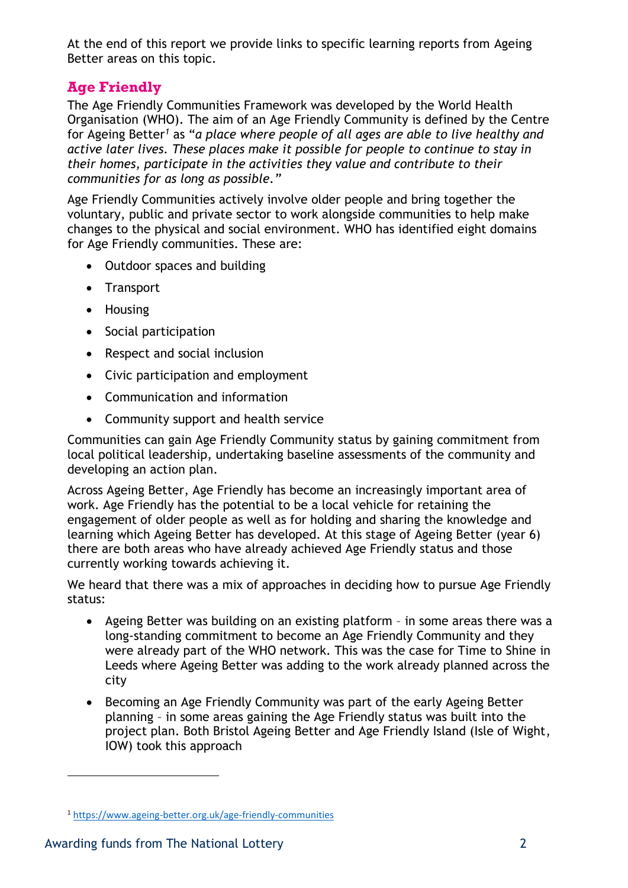At the end of this report we provide links to specific learning reports from Ageing Better areas on this topic.

### **Age Friendly**

The Age Friendly Communities Framework was developed by the World Health Organisation (WHO). The aim of an Age Friendly Community is defined by the Centre for Ageing Better*<sup>1</sup>* as "*a place where people of all ages are able to live healthy and active later lives. These places make it possible for people to continue to stay in their homes, participate in the activities they value and contribute to their communities for as long as possible."*

Age Friendly Communities actively involve older people and bring together the voluntary, public and private sector to work alongside communities to help make changes to the physical and social environment. WHO has identified eight domains for Age Friendly communities. These are:

- Outdoor spaces and building
- Transport
- Housing
- Social participation
- Respect and social inclusion
- Civic participation and employment
- Communication and information
- Community support and health service

Communities can gain Age Friendly Community status by gaining commitment from local political leadership, undertaking baseline assessments of the community and developing an action plan.

Across Ageing Better, Age Friendly has become an increasingly important area of work. Age Friendly has the potential to be a local vehicle for retaining the engagement of older people as well as for holding and sharing the knowledge and learning which Ageing Better has developed. At this stage of Ageing Better (year 6) there are both areas who have already achieved Age Friendly status and those currently working towards achieving it.

We heard that there was a mix of approaches in deciding how to pursue Age Friendly status:

- Ageing Better was building on an existing platform in some areas there was a long-standing commitment to become an Age Friendly Community and they were already part of the WHO network. This was the case for Time to Shine in Leeds where Ageing Better was adding to the work already planned across the city
- Becoming an Age Friendly Community was part of the early Ageing Better planning – in some areas gaining the Age Friendly status was built into the project plan. Both Bristol Ageing Better and Age Friendly Island (Isle of Wight, IOW) took this approach

 $\overline{a}$ 

<sup>1</sup> <https://www.ageing-better.org.uk/age-friendly-communities>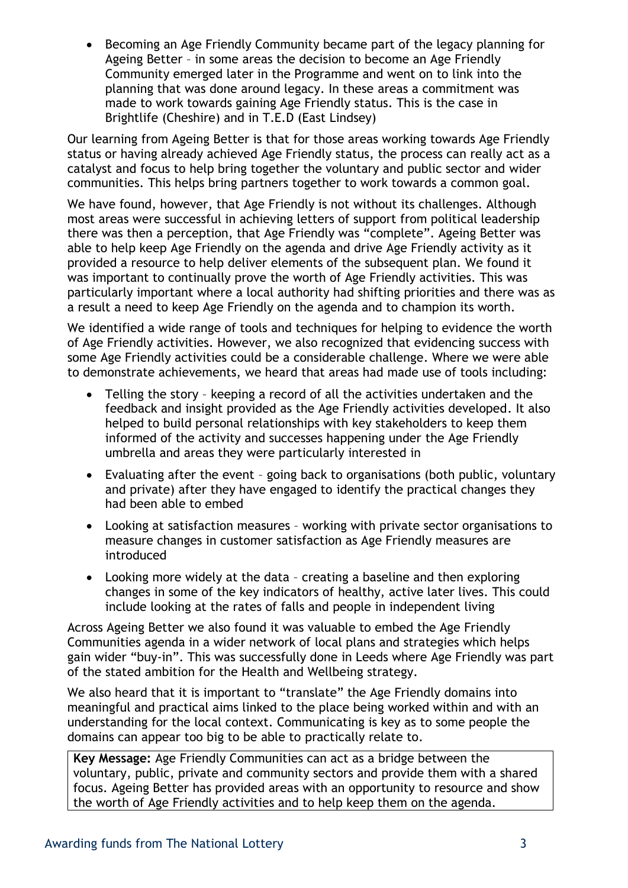• Becoming an Age Friendly Community became part of the legacy planning for Ageing Better – in some areas the decision to become an Age Friendly Community emerged later in the Programme and went on to link into the planning that was done around legacy. In these areas a commitment was made to work towards gaining Age Friendly status. This is the case in Brightlife (Cheshire) and in T.E.D (East Lindsey)

Our learning from Ageing Better is that for those areas working towards Age Friendly status or having already achieved Age Friendly status, the process can really act as a catalyst and focus to help bring together the voluntary and public sector and wider communities. This helps bring partners together to work towards a common goal.

We have found, however, that Age Friendly is not without its challenges. Although most areas were successful in achieving letters of support from political leadership there was then a perception, that Age Friendly was "complete". Ageing Better was able to help keep Age Friendly on the agenda and drive Age Friendly activity as it provided a resource to help deliver elements of the subsequent plan. We found it was important to continually prove the worth of Age Friendly activities. This was particularly important where a local authority had shifting priorities and there was as a result a need to keep Age Friendly on the agenda and to champion its worth.

We identified a wide range of tools and techniques for helping to evidence the worth of Age Friendly activities. However, we also recognized that evidencing success with some Age Friendly activities could be a considerable challenge. Where we were able to demonstrate achievements, we heard that areas had made use of tools including:

- Telling the story keeping a record of all the activities undertaken and the feedback and insight provided as the Age Friendly activities developed. It also helped to build personal relationships with key stakeholders to keep them informed of the activity and successes happening under the Age Friendly umbrella and areas they were particularly interested in
- Evaluating after the event going back to organisations (both public, voluntary and private) after they have engaged to identify the practical changes they had been able to embed
- Looking at satisfaction measures working with private sector organisations to measure changes in customer satisfaction as Age Friendly measures are introduced
- Looking more widely at the data creating a baseline and then exploring changes in some of the key indicators of healthy, active later lives. This could include looking at the rates of falls and people in independent living

Across Ageing Better we also found it was valuable to embed the Age Friendly Communities agenda in a wider network of local plans and strategies which helps gain wider "buy-in". This was successfully done in Leeds where Age Friendly was part of the stated ambition for the Health and Wellbeing strategy.

We also heard that it is important to "translate" the Age Friendly domains into meaningful and practical aims linked to the place being worked within and with an understanding for the local context. Communicating is key as to some people the domains can appear too big to be able to practically relate to.

**Key Message:** Age Friendly Communities can act as a bridge between the voluntary, public, private and community sectors and provide them with a shared focus. Ageing Better has provided areas with an opportunity to resource and show the worth of Age Friendly activities and to help keep them on the agenda.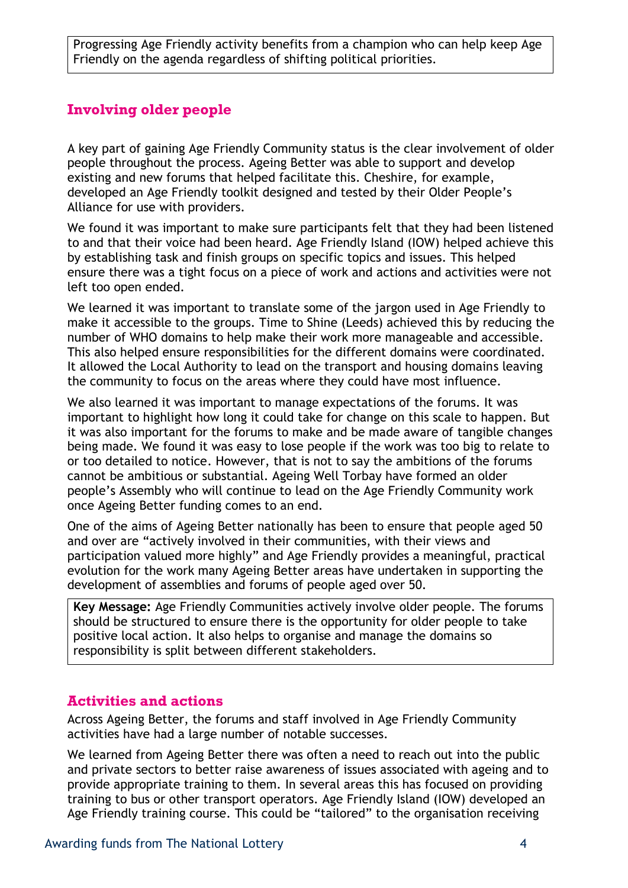Progressing Age Friendly activity benefits from a champion who can help keep Age Friendly on the agenda regardless of shifting political priorities.

#### **Involving older people**

A key part of gaining Age Friendly Community status is the clear involvement of older people throughout the process. Ageing Better was able to support and develop existing and new forums that helped facilitate this. Cheshire, for example, developed an Age Friendly toolkit designed and tested by their Older People's Alliance for use with providers.

We found it was important to make sure participants felt that they had been listened to and that their voice had been heard. Age Friendly Island (IOW) helped achieve this by establishing task and finish groups on specific topics and issues. This helped ensure there was a tight focus on a piece of work and actions and activities were not left too open ended.

We learned it was important to translate some of the jargon used in Age Friendly to make it accessible to the groups. Time to Shine (Leeds) achieved this by reducing the number of WHO domains to help make their work more manageable and accessible. This also helped ensure responsibilities for the different domains were coordinated. It allowed the Local Authority to lead on the transport and housing domains leaving the community to focus on the areas where they could have most influence.

We also learned it was important to manage expectations of the forums. It was important to highlight how long it could take for change on this scale to happen. But it was also important for the forums to make and be made aware of tangible changes being made. We found it was easy to lose people if the work was too big to relate to or too detailed to notice. However, that is not to say the ambitions of the forums cannot be ambitious or substantial. Ageing Well Torbay have formed an older people's Assembly who will continue to lead on the Age Friendly Community work once Ageing Better funding comes to an end.

One of the aims of Ageing Better nationally has been to ensure that people aged 50 and over are "actively involved in their communities, with their views and participation valued more highly" and Age Friendly provides a meaningful, practical evolution for the work many Ageing Better areas have undertaken in supporting the development of assemblies and forums of people aged over 50.

**Key Message:** Age Friendly Communities actively involve older people. The forums should be structured to ensure there is the opportunity for older people to take positive local action. It also helps to organise and manage the domains so responsibility is split between different stakeholders.

#### **Activities and actions**

Across Ageing Better, the forums and staff involved in Age Friendly Community activities have had a large number of notable successes.

We learned from Ageing Better there was often a need to reach out into the public and private sectors to better raise awareness of issues associated with ageing and to provide appropriate training to them. In several areas this has focused on providing training to bus or other transport operators. Age Friendly Island (IOW) developed an Age Friendly training course. This could be "tailored" to the organisation receiving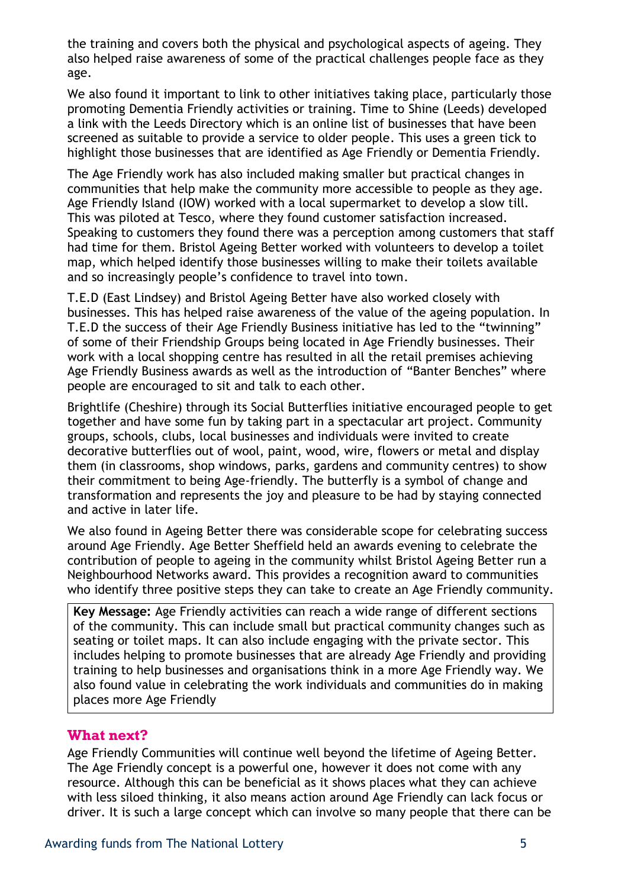the training and covers both the physical and psychological aspects of ageing. They also helped raise awareness of some of the practical challenges people face as they age.

We also found it important to link to other initiatives taking place, particularly those promoting Dementia Friendly activities or training. Time to Shine (Leeds) developed a link with the Leeds Directory which is an online list of businesses that have been screened as suitable to provide a service to older people. This uses a green tick to highlight those businesses that are identified as Age Friendly or Dementia Friendly.

The Age Friendly work has also included making smaller but practical changes in communities that help make the community more accessible to people as they age. Age Friendly Island (IOW) worked with a local supermarket to develop a slow till. This was piloted at Tesco, where they found customer satisfaction increased. Speaking to customers they found there was a perception among customers that staff had time for them. Bristol Ageing Better worked with volunteers to develop a toilet map, which helped identify those businesses willing to make their toilets available and so increasingly people's confidence to travel into town.

T.E.D (East Lindsey) and Bristol Ageing Better have also worked closely with businesses. This has helped raise awareness of the value of the ageing population. In T.E.D the success of their Age Friendly Business initiative has led to the "twinning" of some of their Friendship Groups being located in Age Friendly businesses. Their work with a local shopping centre has resulted in all the retail premises achieving Age Friendly Business awards as well as the introduction of "Banter Benches" where people are encouraged to sit and talk to each other.

Brightlife (Cheshire) through its Social Butterflies initiative encouraged people to get together and have some fun by taking part in a spectacular art project. Community groups, schools, clubs, local businesses and individuals were invited to create decorative butterflies out of wool, paint, wood, wire, flowers or metal and display them (in classrooms, shop windows, parks, gardens and community centres) to show their commitment to being Age-friendly. The butterfly is a symbol of change and transformation and represents the joy and pleasure to be had by staying connected and active in later life.

We also found in Ageing Better there was considerable scope for celebrating success around Age Friendly. Age Better Sheffield held an awards evening to celebrate the contribution of people to ageing in the community whilst Bristol Ageing Better run a Neighbourhood Networks award. This provides a recognition award to communities who identify three positive steps they can take to create an Age Friendly community.

**Key Message:** Age Friendly activities can reach a wide range of different sections of the community. This can include small but practical community changes such as seating or toilet maps. It can also include engaging with the private sector. This includes helping to promote businesses that are already Age Friendly and providing training to help businesses and organisations think in a more Age Friendly way. We also found value in celebrating the work individuals and communities do in making places more Age Friendly

#### **What next?**

Age Friendly Communities will continue well beyond the lifetime of Ageing Better. The Age Friendly concept is a powerful one, however it does not come with any resource. Although this can be beneficial as it shows places what they can achieve with less siloed thinking, it also means action around Age Friendly can lack focus or driver. It is such a large concept which can involve so many people that there can be